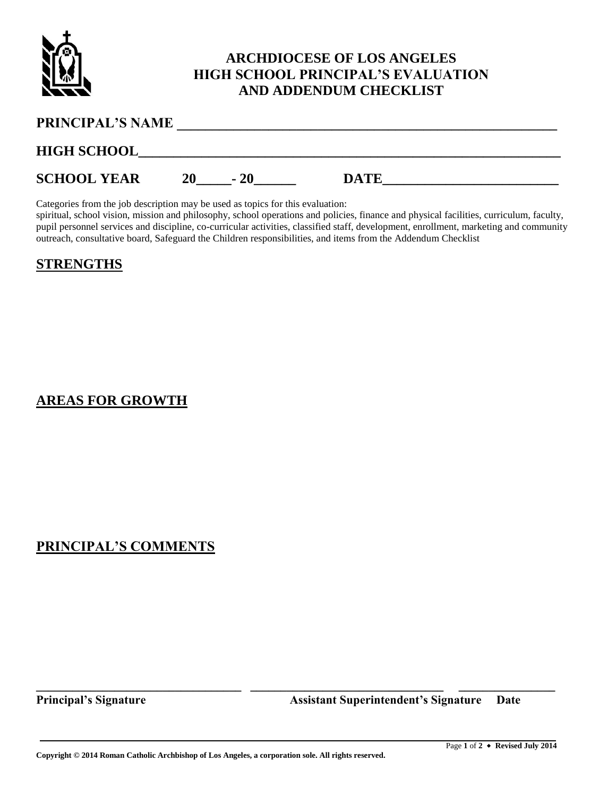

## **ARCHDIOCESE OF LOS ANGELES HIGH SCHOOL PRINCIPAL'S EVALUATION AND ADDENDUM CHECKLIST**

| <b>PRINCIPAL'S NAME</b> |    |       |             |  |
|-------------------------|----|-------|-------------|--|
| <b>HIGH SCHOOL</b>      |    |       |             |  |
| <b>SCHOOL YEAR</b>      | 20 | $-20$ | <b>DATE</b> |  |

Categories from the job description may be used as topics for this evaluation:

spiritual, school vision, mission and philosophy, school operations and policies, finance and physical facilities, curriculum, faculty, pupil personnel services and discipline, co-curricular activities, classified staff, development, enrollment, marketing and community outreach, consultative board, Safeguard the Children responsibilities, and items from the Addendum Checklist

**\_\_\_\_\_\_\_\_\_\_\_\_\_\_\_\_\_\_\_\_\_\_\_\_\_\_\_\_\_\_\_\_\_\_ \_\_\_\_\_\_\_\_\_\_\_\_\_\_\_\_\_\_\_\_\_\_\_\_\_\_\_\_\_\_\_\_ \_\_\_\_\_\_\_\_\_\_\_\_\_\_\_\_**

#### **STRENGTHS**

#### **AREAS FOR GROWTH**

### **PRINCIPAL'S COMMENTS**

**Principal's Signature Assistant Superintendent's Signature Date**